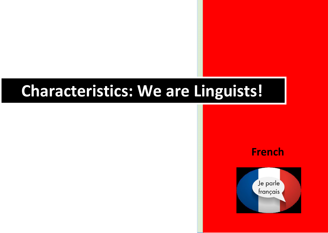## **Characteristics: We are Linguists!**